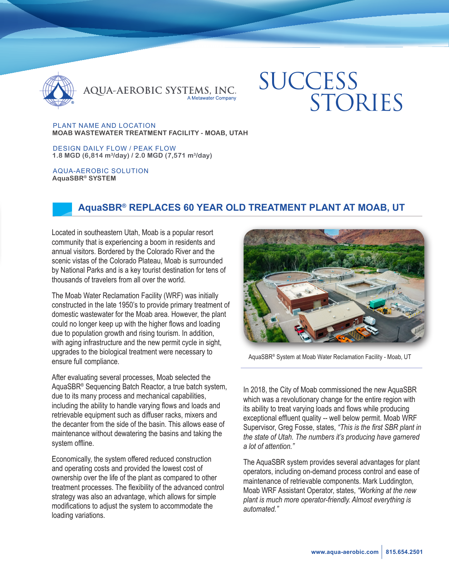

QUA-AEROBIC SYSTEMS, INC.

# **SUCCESS** STORIES

PLANT NAME AND LOCATION **MOAB WASTEWATER TREATMENT FACILITY - MOAB, UTAH**

DESIGN DAILY FLOW / PEAK FLOW **1.8 MGD (6,814 m3/day) / 2.0 MGD (7,571 m3/day)**

AQUA-AEROBIC SOLUTION **AquaSBR® SYSTEM**

# **AquaSBR® REPLACES 60 YEAR OLD TREATMENT PLANT AT MOAB, UT**

Located in southeastern Utah, Moab is a popular resort community that is experiencing a boom in residents and annual visitors. Bordered by the Colorado River and the scenic vistas of the Colorado Plateau, Moab is surrounded by National Parks and is a key tourist destination for tens of thousands of travelers from all over the world.

The Moab Water Reclamation Facility (WRF) was initially constructed in the late 1950's to provide primary treatment of domestic wastewater for the Moab area. However, the plant could no longer keep up with the higher flows and loading due to population growth and rising tourism. In addition, with aging infrastructure and the new permit cycle in sight, upgrades to the biological treatment were necessary to ensure full compliance.

After evaluating several processes, Moab selected the AquaSBR® Sequencing Batch Reactor, a true batch system, due to its many process and mechanical capabilities, including the ability to handle varying flows and loads and retrievable equipment such as diffuser racks, mixers and the decanter from the side of the basin. This allows ease of maintenance without dewatering the basins and taking the system offline.

Economically, the system offered reduced construction and operating costs and provided the lowest cost of ownership over the life of the plant as compared to other treatment processes. The flexibility of the advanced control strategy was also an advantage, which allows for simple modifications to adjust the system to accommodate the loading variations.



AquaSBR® System at Moab Water Reclamation Facility - Moab, UT

In 2018, the City of Moab commissioned the new AquaSBR which was a revolutionary change for the entire region with its ability to treat varying loads and flows while producing exceptional effluent quality -- well below permit. Moab WRF Supervisor, Greg Fosse, states, *"This is the first SBR plant in the state of Utah. The numbers it's producing have garnered a lot of attention."* 

The AquaSBR system provides several advantages for plant operators, including on-demand process control and ease of maintenance of retrievable components. Mark Luddington*,*  Moab WRF Assistant Operator, states, *"Working at the new plant is much more operator-friendly. Almost everything is automated."*